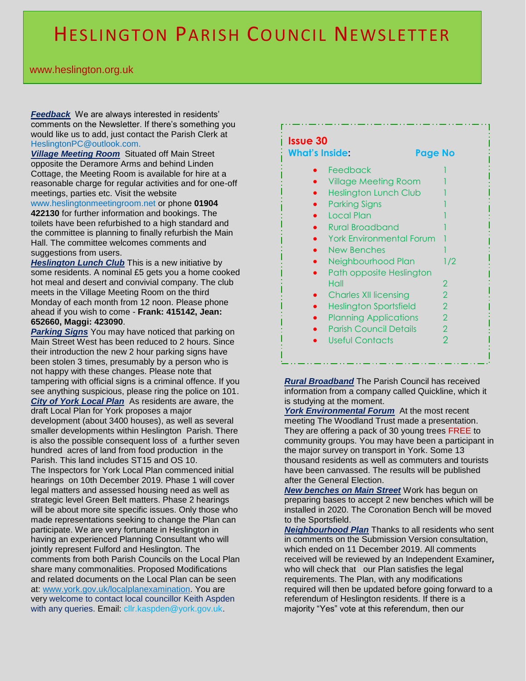## HESLINGTON PARISH COUNCIL NEWSLETTER

## . www.heslington.org.uk

*Feedback* We are always interested in residents' comments on the Newsletter. If there's something you would like us to add, just contact the Parish Clerk at HeslingtonPC@outlook.com.

*Village Meeting Room* Situated off Main Street opposite the Deramore Arms and behind Linden Cottage, the Meeting Room is available for hire at a reasonable charge for regular activities and for one-off meetings, parties etc. Visit the website

www.heslingtonmeetingroom.net or phone **01904 422130** for further information and bookings. The toilets have been refurbished to a high standard and the committee is planning to finally refurbish the Main Hall. The committee welcomes comments and suggestions from users.

**Heslington Lunch Club** This is a new initiative by some residents. A nominal £5 gets you a home cooked hot meal and desert and convivial company. The club meets in the Village Meeting Room on the third Monday of each month from 12 noon. Please phone ahead if you wish to come - **Frank: 415142, Jean: 652660, Maggi: 423090**.

*Parking Signs* You may have noticed that parking on Main Street West has been reduced to 2 hours. Since their introduction the new 2 hour parking signs have been stolen 3 times, presumably by a person who is not happy with these changes. Please note that tampering with official signs is a criminal offence. If you see anything suspicious, please ring the police on 101. *City of York Local Plan* As residents are aware, the draft Local Plan for York proposes a major development (about 3400 houses), as well as several smaller developments within Heslington Parish. There is also the possible consequent loss of a further seven hundred acres of land from food production in the Parish. This land includes ST15 and OS 10. The Inspectors for York Local Plan commenced initial hearings on 10th December 2019. Phase 1 will cover legal matters and assessed housing need as well as strategic level Green Belt matters. Phase 2 hearings will be about more site specific issues. Only those who made representations seeking to change the Plan can participate. We are very fortunate in Heslington in having an experienced Planning Consultant who will jointly represent Fulford and Heslington. The comments from both Parish Councils on the Local Plan share many commonalities. Proposed Modifications and related documents on the Local Plan can be seen at: www.york.gov.uk/localplanexamination. You are very welcome to contact local councillor Keith Aspden with any queries. Email: cllr.kaspden@york.gov.uk.

## **Issue 30**

| What's Inside:                  | Page No       |
|---------------------------------|---------------|
| Feedback                        |               |
| <b>Village Meeting Room</b>     |               |
| <b>Heslington Lunch Club</b>    |               |
| <b>Parking Signs</b>            |               |
| Local Plan                      |               |
| <b>Rural Broadband</b>          |               |
| <b>York Environmental Forum</b> |               |
| <b>New Benches</b>              |               |
| Neighbourhood Plan              | 1/2           |
| Path opposite Heslington        |               |
| Hall                            | 2             |
| <b>Charles XII licensing</b>    | 2             |
| <b>Heslington Sportsfield</b>   | 2             |
| <b>Planning Applications</b>    | 2             |
| <b>Parish Council Details</b>   | $\mathcal{P}$ |
| Useful Contacts                 | 2             |
|                                 |               |
|                                 |               |

*Rural Broadband* The Parish Council has received information from a company called Quickline, which it is studying at the moment.

*York Environmental Forum* At the most recent meeting The Woodland Trust made a presentation. They are offering a pack of 30 young trees FREE to community groups. You may have been a participant in the major survey on transport in York. Some 13 thousand residents as well as commuters and tourists have been canvassed. The results will be published after the General Election.

*New benches on Main Street* Work has begun on preparing bases to accept 2 new benches which will be installed in 2020. The Coronation Bench will be moved to the Sportsfield.

*Neighbourhood Plan* Thanks to all residents who sent in comments on the Submission Version consultation, which ended on 11 December 2019. All comments received will be reviewed by an Independent Examiner*,*  who will check that our Plan satisfies the legal requirements. The Plan, with any modifications required will then be updated before going forward to a referendum of Heslington residents. If there is a majority "Yes" vote at this referendum, then our